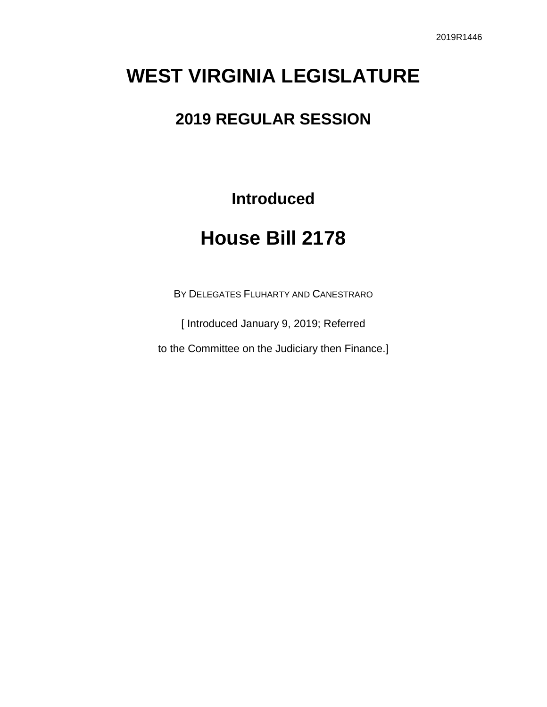# **WEST VIRGINIA LEGISLATURE**

## **2019 REGULAR SESSION**

**Introduced**

# **House Bill 2178**

BY DELEGATES FLUHARTY AND CANESTRARO

[ Introduced January 9, 2019; Referred

to the Committee on the Judiciary then Finance.]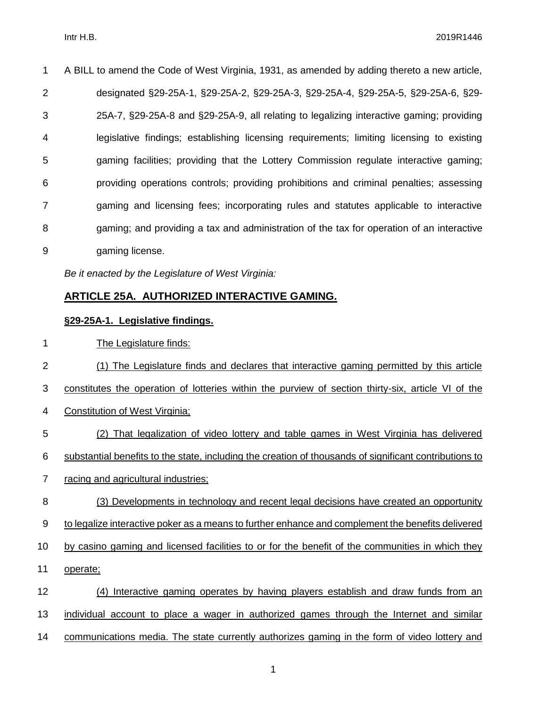A BILL to amend the Code of West Virginia, 1931, as amended by adding thereto a new article, designated §29-25A-1, §29-25A-2, §29-25A-3, §29-25A-4, §29-25A-5, §29-25A-6, §29- 25A-7, §29-25A-8 and §29-25A-9, all relating to legalizing interactive gaming; providing legislative findings; establishing licensing requirements; limiting licensing to existing gaming facilities; providing that the Lottery Commission regulate interactive gaming; providing operations controls; providing prohibitions and criminal penalties; assessing gaming and licensing fees; incorporating rules and statutes applicable to interactive gaming; and providing a tax and administration of the tax for operation of an interactive gaming license.

*Be it enacted by the Legislature of West Virginia:*

#### **ARTICLE 25A. AUTHORIZED INTERACTIVE GAMING.**

#### **§29-25A-1. Legislative findings.**

The Legislature finds:

 (1) The Legislature finds and declares that interactive gaming permitted by this article constitutes the operation of lotteries within the purview of section thirty-six, article VI of the Constitution of West Virginia; (2) That legalization of video lottery and table games in West Virginia has delivered substantial benefits to the state, including the creation of thousands of significant contributions to racing and agricultural industries; (3) Developments in technology and recent legal decisions have created an opportunity to legalize interactive poker as a means to further enhance and complement the benefits delivered by casino gaming and licensed facilities to or for the benefit of the communities in which they operate; (4) Interactive gaming operates by having players establish and draw funds from an

individual account to place a wager in authorized games through the Internet and similar

communications media. The state currently authorizes gaming in the form of video lottery and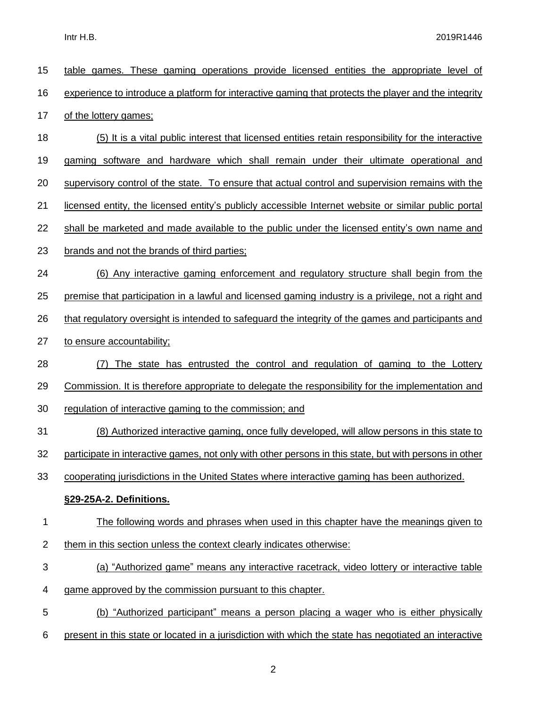| 15             | table games. These gaming operations provide licensed entities the appropriate level of                |
|----------------|--------------------------------------------------------------------------------------------------------|
| 16             | experience to introduce a platform for interactive gaming that protects the player and the integrity   |
| 17             | of the lottery games;                                                                                  |
| 18             | (5) It is a vital public interest that licensed entities retain responsibility for the interactive     |
| 19             | gaming software and hardware which shall remain under their ultimate operational and                   |
| 20             | supervisory control of the state. To ensure that actual control and supervision remains with the       |
| 21             | licensed entity, the licensed entity's publicly accessible Internet website or similar public portal   |
| 22             | shall be marketed and made available to the public under the licensed entity's own name and            |
| 23             | brands and not the brands of third parties;                                                            |
| 24             | (6) Any interactive gaming enforcement and regulatory structure shall begin from the                   |
| 25             | premise that participation in a lawful and licensed gaming industry is a privilege, not a right and    |
| 26             | that regulatory oversight is intended to safeguard the integrity of the games and participants and     |
| 27             | to ensure accountability;                                                                              |
|                |                                                                                                        |
| 28             | The state has entrusted the control and regulation of gaming to the Lottery<br>(7)                     |
| 29             | Commission. It is therefore appropriate to delegate the responsibility for the implementation and      |
| 30             | regulation of interactive gaming to the commission; and                                                |
| 31             | (8) Authorized interactive gaming, once fully developed, will allow persons in this state to           |
| 32             | participate in interactive games, not only with other persons in this state, but with persons in other |
| 33             | cooperating jurisdictions in the United States where interactive gaming has been authorized.           |
|                | §29-25A-2. Definitions.                                                                                |
| 1              | The following words and phrases when used in this chapter have the meanings given to                   |
| $\overline{2}$ | them in this section unless the context clearly indicates otherwise:                                   |
| 3              | (a) "Authorized game" means any interactive racetrack, video lottery or interactive table              |
| 4              | game approved by the commission pursuant to this chapter.                                              |
| 5              | (b) "Authorized participant" means a person placing a wager who is either physically                   |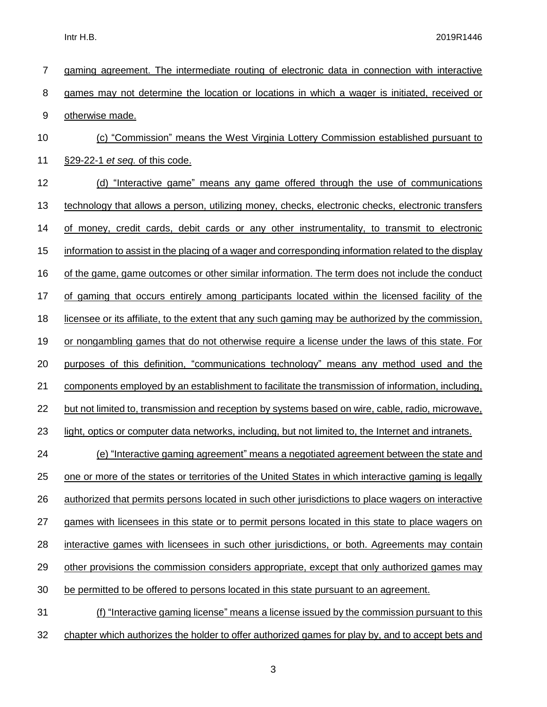| 7     | gaming agreement. The intermediate routing of electronic data in connection with interactive         |
|-------|------------------------------------------------------------------------------------------------------|
| 8     | games may not determine the location or locations in which a wager is initiated, received or         |
| $9\,$ | otherwise made.                                                                                      |
| 10    | (c) "Commission" means the West Virginia Lottery Commission established pursuant to                  |
| 11    | §29-22-1 et seq. of this code.                                                                       |
| 12    | (d) "Interactive game" means any game offered through the use of communications                      |
| 13    | technology that allows a person, utilizing money, checks, electronic checks, electronic transfers    |
| 14    | of money, credit cards, debit cards or any other instrumentality, to transmit to electronic          |
| 15    | information to assist in the placing of a wager and corresponding information related to the display |
| 16    | of the game, game outcomes or other similar information. The term does not include the conduct       |
| 17    | of gaming that occurs entirely among participants located within the licensed facility of the        |
| 18    | licensee or its affiliate, to the extent that any such gaming may be authorized by the commission,   |
| 19    | or nongambling games that do not otherwise require a license under the laws of this state. For       |
| 20    | purposes of this definition, "communications technology" means any method used and the               |
| 21    | components employed by an establishment to facilitate the transmission of information, including,    |
| 22    | but not limited to, transmission and reception by systems based on wire, cable, radio, microwave,    |
| 23    | light, optics or computer data networks, including, but not limited to, the Internet and intranets.  |
| 24    | (e) "Interactive gaming agreement" means a negotiated agreement between the state and                |
| 25    | one or more of the states or territories of the United States in which interactive gaming is legally |
| 26    | authorized that permits persons located in such other jurisdictions to place wagers on interactive   |
| 27    | games with licensees in this state or to permit persons located in this state to place wagers on     |
| 28    | interactive games with licensees in such other jurisdictions, or both. Agreements may contain        |
| 29    | other provisions the commission considers appropriate, except that only authorized games may         |
| 30    | be permitted to be offered to persons located in this state pursuant to an agreement.                |
| 31    | (f) "Interactive gaming license" means a license issued by the commission pursuant to this           |
| 32    | chapter which authorizes the holder to offer authorized games for play by, and to accept bets and    |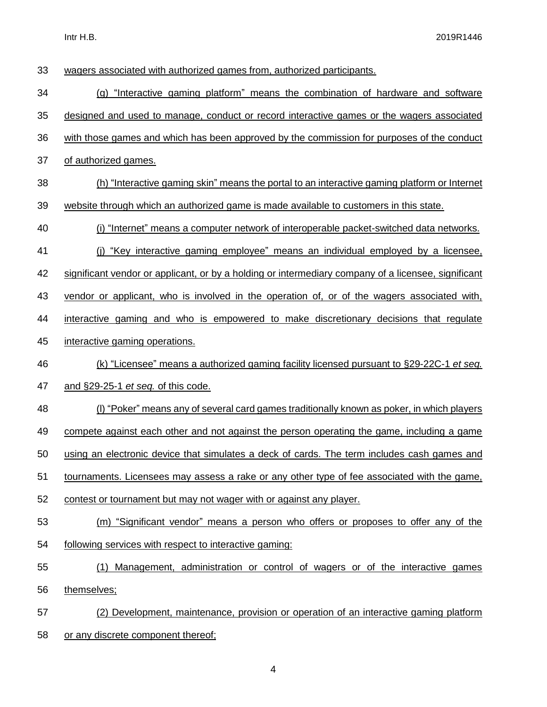Intr H.B. 2019R1446

| 33 | wagers associated with authorized games from, authorized participants.                              |
|----|-----------------------------------------------------------------------------------------------------|
| 34 | (g) "Interactive gaming platform" means the combination of hardware and software                    |
| 35 | designed and used to manage, conduct or record interactive games or the wagers associated           |
| 36 | with those games and which has been approved by the commission for purposes of the conduct          |
| 37 |                                                                                                     |
|    | of authorized games.                                                                                |
| 38 | (h) "Interactive gaming skin" means the portal to an interactive gaming platform or Internet        |
| 39 | website through which an authorized game is made available to customers in this state.              |
| 40 | (i) "Internet" means a computer network of interoperable packet-switched data networks.             |
| 41 | (i) "Key interactive gaming employee" means an individual employed by a licensee,                   |
| 42 | significant vendor or applicant, or by a holding or intermediary company of a licensee, significant |
| 43 | vendor or applicant, who is involved in the operation of, or of the wagers associated with,         |
| 44 | interactive gaming and who is empowered to make discretionary decisions that regulate               |
| 45 | interactive gaming operations.                                                                      |
| 46 | (k) "Licensee" means a authorized gaming facility licensed pursuant to §29-22C-1 et seq.            |
| 47 | and §29-25-1 et seq. of this code.                                                                  |
| 48 | (I) "Poker" means any of several card games traditionally known as poker, in which players          |
| 49 | compete against each other and not against the person operating the game, including a game          |
| 50 | using an electronic device that simulates a deck of cards. The term includes cash games and         |
| 51 | tournaments. Licensees may assess a rake or any other type of fee associated with the game,         |
| 52 | contest or tournament but may not wager with or against any player.                                 |
| 53 | (m) "Significant vendor" means a person who offers or proposes to offer any of the                  |
| 54 | following services with respect to interactive gaming:                                              |
| 55 | (1) Management, administration or control of wagers or of the interactive games                     |
| 56 | themselves;                                                                                         |
| 57 | (2) Development, maintenance, provision or operation of an interactive gaming platform              |
| 58 | or any discrete component thereof;                                                                  |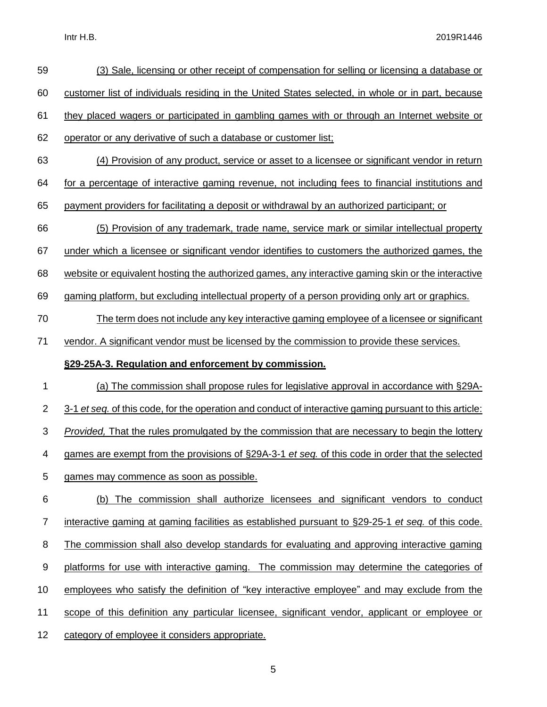Intr H.B. 2019R1446

| 59             | (3) Sale, licensing or other receipt of compensation for selling or licensing a database or             |
|----------------|---------------------------------------------------------------------------------------------------------|
| 60             | customer list of individuals residing in the United States selected, in whole or in part, because       |
| 61             | they placed wagers or participated in gambling games with or through an Internet website or             |
| 62             | operator or any derivative of such a database or customer list;                                         |
| 63             | (4) Provision of any product, service or asset to a licensee or significant vendor in return            |
| 64             | for a percentage of interactive gaming revenue, not including fees to financial institutions and        |
| 65             | payment providers for facilitating a deposit or withdrawal by an authorized participant; or             |
| 66             | (5) Provision of any trademark, trade name, service mark or similar intellectual property               |
| 67             | under which a licensee or significant vendor identifies to customers the authorized games, the          |
| 68             | website or equivalent hosting the authorized games, any interactive gaming skin or the interactive      |
| 69             | gaming platform, but excluding intellectual property of a person providing only art or graphics.        |
| 70             | The term does not include any key interactive gaming employee of a licensee or significant              |
| 71             | vendor. A significant vendor must be licensed by the commission to provide these services.              |
|                |                                                                                                         |
|                | §29-25A-3. Regulation and enforcement by commission.                                                    |
| 1              | (a) The commission shall propose rules for legislative approval in accordance with §29A-                |
| $\overline{2}$ | 3-1 et seq. of this code, for the operation and conduct of interactive gaming pursuant to this article: |
| 3              | <b>Provided.</b> That the rules promulgated by the commission that are necessary to begin the lottery   |
| 4              | games are exempt from the provisions of §29A-3-1 et seg. of this code in order that the selected        |
| 5              | games may commence as soon as possible.                                                                 |
| 6              | (b) The commission shall authorize licensees and significant vendors to conduct                         |
| $\overline{7}$ | interactive gaming at gaming facilities as established pursuant to §29-25-1 et seq. of this code.       |
| 8              | The commission shall also develop standards for evaluating and approving interactive gaming             |
| 9              | platforms for use with interactive gaming. The commission may determine the categories of               |
| 10             | employees who satisfy the definition of "key interactive employee" and may exclude from the             |
| 11             | scope of this definition any particular licensee, significant vendor, applicant or employee or          |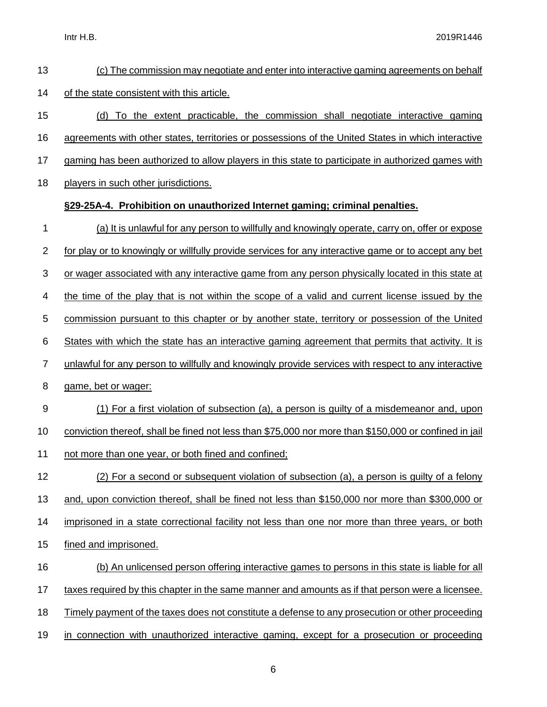| 13             | (c) The commission may negotiate and enter into interactive gaming agreements on behalf               |
|----------------|-------------------------------------------------------------------------------------------------------|
| 14             | of the state consistent with this article.                                                            |
| 15             | (d) To the extent practicable, the commission shall negotiate interactive gaming                      |
| 16             | agreements with other states, territories or possessions of the United States in which interactive    |
| 17             | gaming has been authorized to allow players in this state to participate in authorized games with     |
| 18             | players in such other jurisdictions.                                                                  |
|                | §29-25A-4. Prohibition on unauthorized Internet gaming; criminal penalties.                           |
| 1              | (a) It is unlawful for any person to willfully and knowingly operate, carry on, offer or expose       |
| $\overline{2}$ | for play or to knowingly or willfully provide services for any interactive game or to accept any bet  |
| 3              | or wager associated with any interactive game from any person physically located in this state at     |
| 4              | the time of the play that is not within the scope of a valid and current license issued by the        |
| 5              | commission pursuant to this chapter or by another state, territory or possession of the United        |
| 6              | States with which the state has an interactive gaming agreement that permits that activity. It is     |
| $\overline{7}$ | unlawful for any person to willfully and knowingly provide services with respect to any interactive   |
| 8              | game, bet or wager:                                                                                   |
| 9              | (1) For a first violation of subsection (a), a person is guilty of a misdemeanor and, upon            |
| 10             | conviction thereof, shall be fined not less than \$75,000 nor more than \$150,000 or confined in jail |
| 11             | not more than one year, or both fined and confined;                                                   |
| 12             | (2) For a second or subsequent violation of subsection (a), a person is guilty of a felony            |
| 13             | and, upon conviction thereof, shall be fined not less than \$150,000 nor more than \$300,000 or       |
| 14             | imprisoned in a state correctional facility not less than one nor more than three years, or both      |
| 15             | fined and imprisoned.                                                                                 |
| 16             | (b) An unlicensed person offering interactive games to persons in this state is liable for all        |
| 17             | taxes required by this chapter in the same manner and amounts as if that person were a licensee.      |
| 18             | Timely payment of the taxes does not constitute a defense to any prosecution or other proceeding      |
| 19             | in connection with unauthorized interactive gaming, except for a prosecution or proceeding            |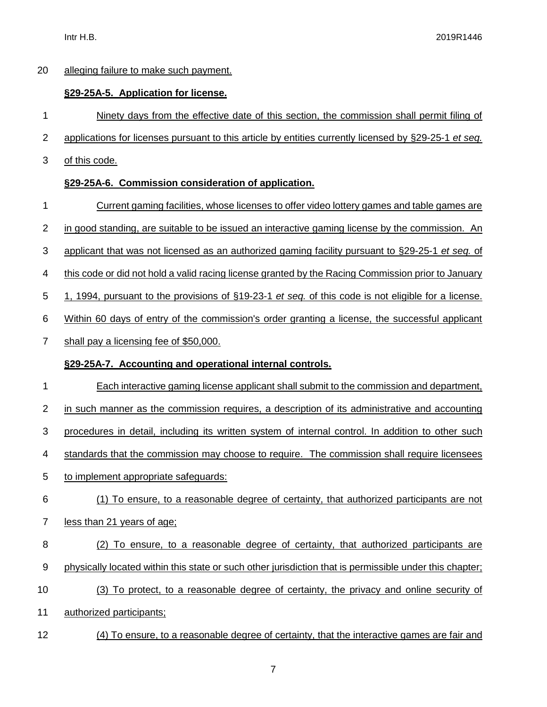#### alleging failure to make such payment.

#### **§29-25A-5. Application for license.**

Ninety days from the effective date of this section, the commission shall permit filing of

- applications for licenses pursuant to this article by entities currently licensed by §29-25-1 *et seq.*
- of this code.

### **§29-25A-6. Commission consideration of application.**

- Current gaming facilities, whose licenses to offer video lottery games and table games are
- in good standing, are suitable to be issued an interactive gaming license by the commission. An
- applicant that was not licensed as an authorized gaming facility pursuant to §29-25-1 *et seq.* of
- this code or did not hold a valid racing license granted by the Racing Commission prior to January
- 1, 1994, pursuant to the provisions of §19-23-1 *et seq.* of this code is not eligible for a license.
- Within 60 days of entry of the commission's order granting a license, the successful applicant
- shall pay a licensing fee of \$50,000.

### **§29-25A-7. Accounting and operational internal controls.**

- Each interactive gaming license applicant shall submit to the commission and department,
- in such manner as the commission requires, a description of its administrative and accounting
- 3 procedures in detail, including its written system of internal control. In addition to other such
- standards that the commission may choose to require. The commission shall require licensees
- to implement appropriate safeguards:
- (1) To ensure, to a reasonable degree of certainty, that authorized participants are not
- less than 21 years of age;
- (2) To ensure, to a reasonable degree of certainty, that authorized participants are physically located within this state or such other jurisdiction that is permissible under this chapter;
- (3) To protect, to a reasonable degree of certainty, the privacy and online security of
- authorized participants;
- (4) To ensure, to a reasonable degree of certainty, that the interactive games are fair and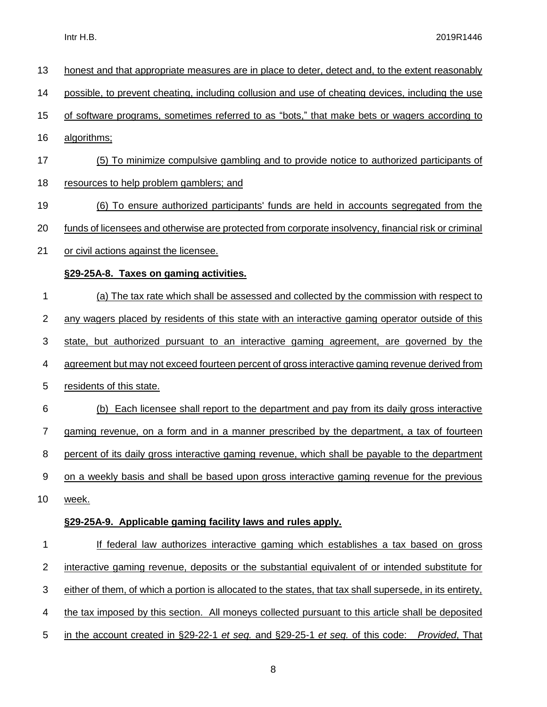| 13               | honest and that appropriate measures are in place to deter, detect and, to the extent reasonably          |
|------------------|-----------------------------------------------------------------------------------------------------------|
| 14               | possible, to prevent cheating, including collusion and use of cheating devices, including the use         |
| 15               | of software programs, sometimes referred to as "bots," that make bets or wagers according to              |
| 16               | algorithms;                                                                                               |
| 17               | (5) To minimize compulsive gambling and to provide notice to authorized participants of                   |
| 18               | resources to help problem gamblers; and                                                                   |
| 19               | (6) To ensure authorized participants' funds are held in accounts segregated from the                     |
| 20               | funds of licensees and otherwise are protected from corporate insolvency, financial risk or criminal      |
| 21               | or civil actions against the licensee.                                                                    |
|                  | §29-25A-8. Taxes on gaming activities.                                                                    |
| 1                | (a) The tax rate which shall be assessed and collected by the commission with respect to                  |
| $\mathbf 2$      | any wagers placed by residents of this state with an interactive gaming operator outside of this          |
| 3                | state, but authorized pursuant to an interactive gaming agreement, are governed by the                    |
| 4                | agreement but may not exceed fourteen percent of gross interactive gaming revenue derived from            |
| 5                | residents of this state.                                                                                  |
| 6                | (b) Each licensee shall report to the department and pay from its daily gross interactive                 |
| $\boldsymbol{7}$ | gaming revenue, on a form and in a manner prescribed by the department, a tax of fourteen                 |
| 8                | percent of its daily gross interactive gaming revenue, which shall be payable to the department           |
| $\boldsymbol{9}$ | on a weekly basis and shall be based upon gross interactive gaming revenue for the previous               |
| 10               | week.                                                                                                     |
|                  | §29-25A-9. Applicable gaming facility laws and rules apply.                                               |
| 1                | If federal law authorizes interactive gaming which establishes a tax based on gross                       |
| $\overline{2}$   | interactive gaming revenue, deposits or the substantial equivalent of or intended substitute for          |
| 3                | either of them, of which a portion is allocated to the states, that tax shall supersede, in its entirety, |
| 4                | the tax imposed by this section. All moneys collected pursuant to this article shall be deposited         |
| 5                | in the account created in §29-22-1 et seq. and §29-25-1 et seq. of this code: Provided, That              |
|                  |                                                                                                           |